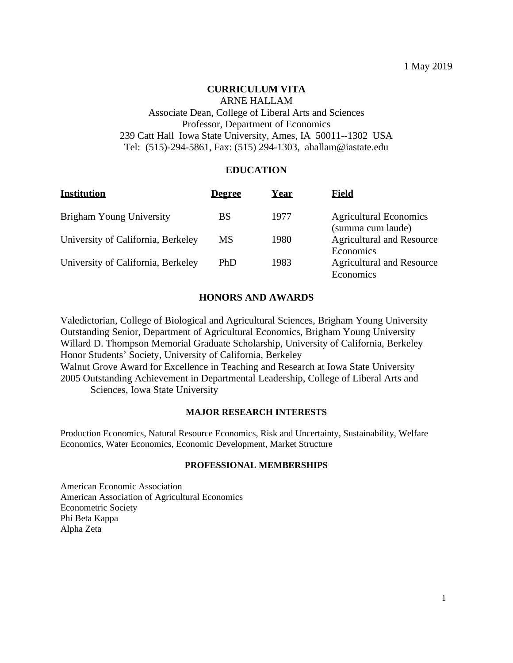## **CURRICULUM VITA**

# ARNE HALLAM Associate Dean, College of Liberal Arts and Sciences Professor, Department of Economics 239 Catt Hall Iowa State University, Ames, IA 50011--1302 USA Tel: (515)-294-5861, Fax: (515) 294-1303, ahallam@iastate.edu

## **EDUCATION**

| <b>Institution</b>                 | <u>Degree</u> | Year | Field                                              |
|------------------------------------|---------------|------|----------------------------------------------------|
| Brigham Young University           | BS            | 1977 | <b>Agricultural Economics</b><br>(summa cum laude) |
| University of California, Berkeley | MS            | 1980 | <b>Agricultural and Resource</b><br>Economics      |
| University of California, Berkeley | PhD           | 1983 | <b>Agricultural and Resource</b><br>Economics      |

#### **HONORS AND AWARDS**

Valedictorian, College of Biological and Agricultural Sciences, Brigham Young University Outstanding Senior, Department of Agricultural Economics, Brigham Young University Willard D. Thompson Memorial Graduate Scholarship, University of California, Berkeley Honor Students' Society, University of California, Berkeley Walnut Grove Award for Excellence in Teaching and Research at Iowa State University 2005 Outstanding Achievement in Departmental Leadership, College of Liberal Arts and

Sciences, Iowa State University

#### **MAJOR RESEARCH INTERESTS**

Production Economics, Natural Resource Economics, Risk and Uncertainty, Sustainability, Welfare Economics, Water Economics, Economic Development, Market Structure

#### **PROFESSIONAL MEMBERSHIPS**

American Economic Association American Association of Agricultural Economics Econometric Society Phi Beta Kappa Alpha Zeta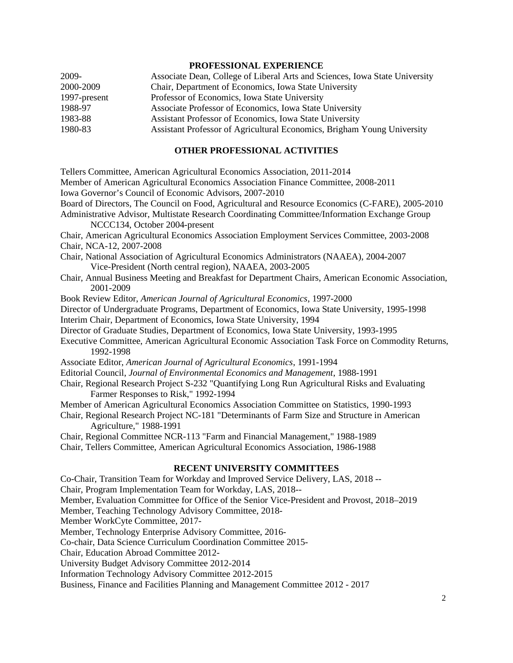#### **PROFESSIONAL EXPERIENCE**

| 2009-        | Associate Dean, College of Liberal Arts and Sciences, Iowa State University |
|--------------|-----------------------------------------------------------------------------|
| 2000-2009    | Chair, Department of Economics, Iowa State University                       |
| 1997-present | Professor of Economics, Iowa State University                               |
| 1988-97      | Associate Professor of Economics, Iowa State University                     |
| 1983-88      | Assistant Professor of Economics, Iowa State University                     |
| 1980-83      | Assistant Professor of Agricultural Economics, Brigham Young University     |

#### **OTHER PROFESSIONAL ACTIVITIES**

Tellers Committee, American Agricultural Economics Association, 2011-2014 Member of American Agricultural Economics Association Finance Committee, 2008-2011 Iowa Governor's Council of Economic Advisors, 2007-2010 Board of Directors, The Council on Food, Agricultural and Resource Economics (C-FARE), 2005-2010 Administrative Advisor, Multistate Research Coordinating Committee/Information Exchange Group NCCC134, October 2004-present Chair, American Agricultural Economics Association Employment Services Committee, 2003-2008 Chair, NCA-12, 2007-2008 Chair, National Association of Agricultural Economics Administrators (NAAEA), 2004-2007 Vice-President (North central region), NAAEA, 2003-2005 Chair, Annual Business Meeting and Breakfast for Department Chairs, American Economic Association, 2001-2009 Book Review Editor, *American Journal of Agricultural Economics*, 1997-2000 Director of Undergraduate Programs, Department of Economics, Iowa State University, 1995-1998 Interim Chair, Department of Economics, Iowa State University, 1994 Director of Graduate Studies, Department of Economics, Iowa State University, 1993-1995 Executive Committee, American Agricultural Economic Association Task Force on Commodity Returns, 1992-1998 Associate Editor, *American Journal of Agricultural Economics*, 1991-1994 Editorial Council, *Journal of Environmental Economics and Management*, 1988-1991 Chair, Regional Research Project S-232 "Quantifying Long Run Agricultural Risks and Evaluating Farmer Responses to Risk," 1992-1994 Member of American Agricultural Economics Association Committee on Statistics, 1990-1993 Chair, Regional Research Project NC-181 "Determinants of Farm Size and Structure in American Agriculture," 1988-1991 Chair, Regional Committee NCR-113 "Farm and Financial Management," 1988-1989 Chair, Tellers Committee, American Agricultural Economics Association, 1986-1988 **RECENT UNIVERSITY COMMITTEES** Co-Chair, Transition Team for Workday and Improved Service Delivery, LAS, 2018 -- Chair, Program Implementation Team for Workday, LAS, 2018-- Member, Evaluation Committee for Office of the Senior Vice-President and Provost, 2018–2019 Member, Teaching Technology Advisory Committee, 2018- Member WorkCyte Committee, 2017- Member, Technology Enterprise Advisory Committee, 2016- Co-chair, Data Science Curriculum Coordination Committee 2015- Chair, Education Abroad Committee 2012-

University Budget Advisory Committee 2012-2014

Information Technology Advisory Committee 2012-2015

Business, Finance and Facilities Planning and Management Committee 2012 - 2017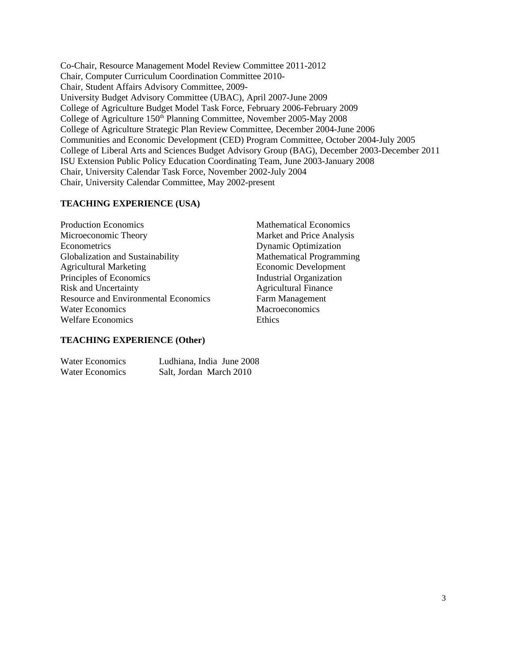Co-Chair, Resource Management Model Review Committee 2011-2012 Chair, Computer Curriculum Coordination Committee 2010- Chair, Student Affairs Advisory Committee, 2009- University Budget Advisory Committee (UBAC), April 2007-June 2009 College of Agriculture Budget Model Task Force, February 2006-February 2009 College of Agriculture 150<sup>th</sup> Planning Committee, November 2005-May 2008 College of Agriculture Strategic Plan Review Committee, December 2004-June 2006 Communities and Economic Development (CED) Program Committee, October 2004-July 2005 College of Liberal Arts and Sciences Budget Advisory Group (BAG), December 2003-December 2011 ISU Extension Public Policy Education Coordinating Team, June 2003-January 2008 Chair, University Calendar Task Force, November 2002-July 2004 Chair, University Calendar Committee, May 2002-present

#### **TEACHING EXPERIENCE (USA)**

| <b>Production Economics</b>                 | Mathe  |
|---------------------------------------------|--------|
| Microeconomic Theory                        | Marke  |
| Econometrics                                | Dynar  |
| Globalization and Sustainability            | Mathe  |
| <b>Agricultural Marketing</b>               | Econo  |
| Principles of Economics                     | Indust |
| <b>Risk and Uncertainty</b>                 | Agrici |
| <b>Resource and Environmental Economics</b> | Farm   |
| <b>Water Economics</b>                      | Macro  |
| <b>Welfare Economics</b>                    | Ethics |

Mathematical Economics Market and Price Analysis **Dynamic Optimization** Mathematical Programming **Economic Development Industrial Organization Agricultural Finance** Farm Management **Macroeconomics** 

#### **TEACHING EXPERIENCE (Other)**

| <b>Water Economics</b> | Ludhiana, India June 2008 |
|------------------------|---------------------------|
| <b>Water Economics</b> | Salt, Jordan March 2010   |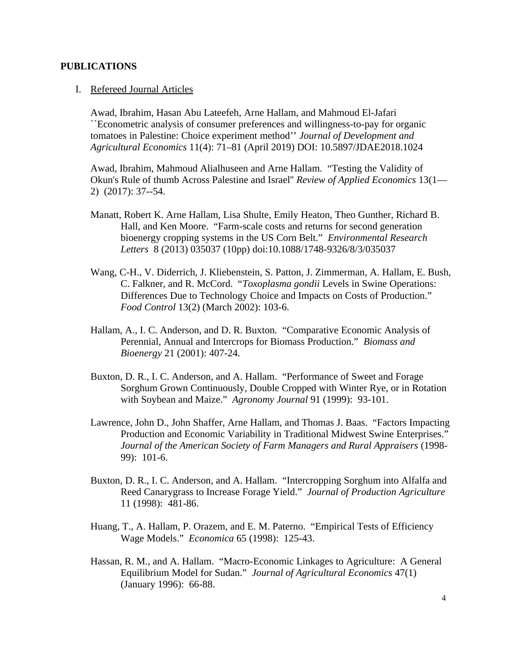### **PUBLICATIONS**

### I. Refereed Journal Articles

Awad, Ibrahim, Hasan Abu Lateefeh, Arne Hallam, and Mahmoud El-Jafari ``Econometric analysis of consumer preferences and willingness-to-pay for organic tomatoes in Palestine: Choice experiment method'' *Journal of Development and Agricultural Economics* 11(4): 71–81 (April 2019) DOI: 10.5897/JDAE2018.1024

Awad, Ibrahim, Mahmoud Alialhuseen and Arne Hallam. "Testing the Validity of Okun's Rule of thumb Across Palestine and Israel'' *Review of Applied Economics* 13(1— 2) (2017): 37--54.

- Manatt, Robert K. Arne Hallam, Lisa Shulte, Emily Heaton, Theo Gunther, Richard B. Hall, and Ken Moore. "Farm-scale costs and returns for second generation bioenergy cropping systems in the US Corn Belt." *Environmental Research Letters* 8 (2013) 035037 (10pp) doi:10.1088/1748-9326/8/3/035037
- Wang, C-H., V. Diderrich, J. Kliebenstein, S. Patton, J. Zimmerman, A. Hallam, E. Bush, C. Falkner, and R. McCord. "*Toxoplasma gondii* Levels in Swine Operations: Differences Due to Technology Choice and Impacts on Costs of Production." *Food Control* 13(2) (March 2002): 103-6.
- Hallam, A., I. C. Anderson, and D. R. Buxton. "Comparative Economic Analysis of Perennial, Annual and Intercrops for Biomass Production." *Biomass and Bioenergy* 21 (2001): 407-24.
- Buxton, D. R., I. C. Anderson, and A. Hallam. "Performance of Sweet and Forage Sorghum Grown Continuously, Double Cropped with Winter Rye, or in Rotation with Soybean and Maize." *Agronomy Journal* 91 (1999): 93-101.
- Lawrence, John D., John Shaffer, Arne Hallam, and Thomas J. Baas. "Factors Impacting Production and Economic Variability in Traditional Midwest Swine Enterprises." *Journal of the American Society of Farm Managers and Rural Appraisers* (1998- 99): 101-6.
- Buxton, D. R., I. C. Anderson, and A. Hallam. "Intercropping Sorghum into Alfalfa and Reed Canarygrass to Increase Forage Yield." *Journal of Production Agriculture* 11 (1998): 481-86.
- Huang, T., A. Hallam, P. Orazem, and E. M. Paterno. "Empirical Tests of Efficiency Wage Models." *Economica* 65 (1998): 125-43.
- Hassan, R. M., and A. Hallam. "Macro-Economic Linkages to Agriculture: A General Equilibrium Model for Sudan." *Journal of Agricultural Economics* 47(1) (January 1996): 66-88.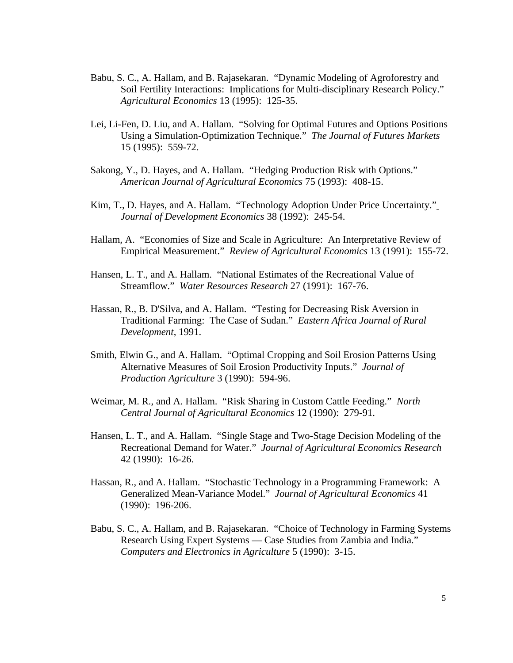- Babu, S. C., A. Hallam, and B. Rajasekaran. "Dynamic Modeling of Agroforestry and Soil Fertility Interactions: Implications for Multi-disciplinary Research Policy." *Agricultural Economics* 13 (1995): 125-35.
- Lei, Li-Fen, D. Liu, and A. Hallam. "Solving for Optimal Futures and Options Positions Using a Simulation-Optimization Technique." *The Journal of Futures Markets* 15 (1995): 559-72.
- Sakong, Y., D. Hayes, and A. Hallam. "Hedging Production Risk with Options." *American Journal of Agricultural Economics* 75 (1993): 408-15.
- Kim, T., D. Hayes, and A. Hallam. "Technology Adoption Under Price Uncertainty." *Journal of Development Economics* 38 (1992): 245-54.
- Hallam, A. "Economies of Size and Scale in Agriculture: An Interpretative Review of Empirical Measurement." *Review of Agricultural Economics* 13 (1991): 155-72.
- Hansen, L. T., and A. Hallam. "National Estimates of the Recreational Value of Streamflow." *Water Resources Research* 27 (1991): 167-76.
- Hassan, R., B. D'Silva, and A. Hallam. "Testing for Decreasing Risk Aversion in Traditional Farming: The Case of Sudan." *Eastern Africa Journal of Rural Development*, 1991.
- Smith, Elwin G., and A. Hallam. "Optimal Cropping and Soil Erosion Patterns Using Alternative Measures of Soil Erosion Productivity Inputs." *Journal of Production Agriculture* 3 (1990): 594-96.
- Weimar, M. R., and A. Hallam. "Risk Sharing in Custom Cattle Feeding." *North Central Journal of Agricultural Economics* 12 (1990): 279-91.
- Hansen, L. T., and A. Hallam. "Single Stage and Two-Stage Decision Modeling of the Recreational Demand for Water." *Journal of Agricultural Economics Research* 42 (1990): 16-26.
- Hassan, R., and A. Hallam. "Stochastic Technology in a Programming Framework: A Generalized Mean-Variance Model." *Journal of Agricultural Economics* 41 (1990): 196-206.
- Babu, S. C., A. Hallam, and B. Rajasekaran. "Choice of Technology in Farming Systems Research Using Expert Systems — Case Studies from Zambia and India." *Computers and Electronics in Agriculture* 5 (1990): 3-15.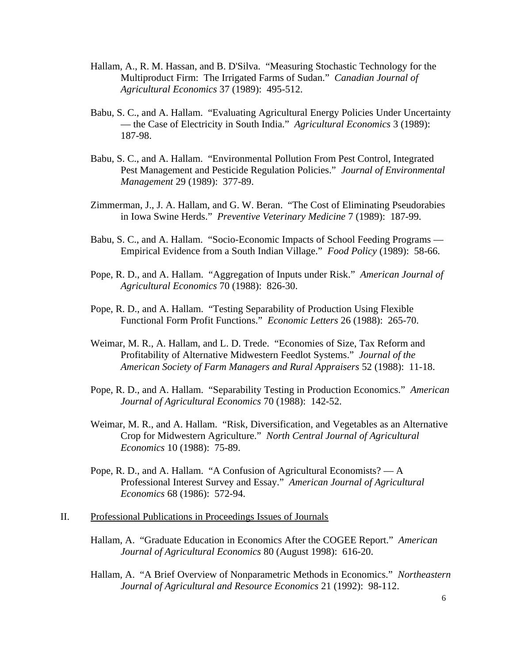- Hallam, A., R. M. Hassan, and B. D'Silva. "Measuring Stochastic Technology for the Multiproduct Firm: The Irrigated Farms of Sudan." *Canadian Journal of Agricultural Economics* 37 (1989): 495-512.
- Babu, S. C., and A. Hallam. "Evaluating Agricultural Energy Policies Under Uncertainty — the Case of Electricity in South India." *Agricultural Economics* 3 (1989): 187-98.
- Babu, S. C., and A. Hallam. "Environmental Pollution From Pest Control, Integrated Pest Management and Pesticide Regulation Policies." *Journal of Environmental Management* 29 (1989): 377-89.
- Zimmerman, J., J. A. Hallam, and G. W. Beran. "The Cost of Eliminating Pseudorabies in Iowa Swine Herds." *Preventive Veterinary Medicine* 7 (1989): 187-99.
- Babu, S. C., and A. Hallam. "Socio-Economic Impacts of School Feeding Programs Empirical Evidence from a South Indian Village." *Food Policy* (1989): 58-66.
- Pope, R. D., and A. Hallam. "Aggregation of Inputs under Risk." *American Journal of Agricultural Economics* 70 (1988): 826-30.
- Pope, R. D., and A. Hallam. "Testing Separability of Production Using Flexible Functional Form Profit Functions." *Economic Letters* 26 (1988): 265-70.
- Weimar, M. R., A. Hallam, and L. D. Trede. "Economies of Size, Tax Reform and Profitability of Alternative Midwestern Feedlot Systems." *Journal of the American Society of Farm Managers and Rural Appraisers* 52 (1988): 11-18.
- Pope, R. D., and A. Hallam. "Separability Testing in Production Economics." *American Journal of Agricultural Economics* 70 (1988): 142-52.
- Weimar, M. R., and A. Hallam. "Risk, Diversification, and Vegetables as an Alternative Crop for Midwestern Agriculture." *North Central Journal of Agricultural Economics* 10 (1988): 75-89.
- Pope, R. D., and A. Hallam. "A Confusion of Agricultural Economists? A Professional Interest Survey and Essay." *American Journal of Agricultural Economics* 68 (1986): 572-94.

## II. Professional Publications in Proceedings Issues of Journals

- Hallam, A. "Graduate Education in Economics After the COGEE Report." *American Journal of Agricultural Economics* 80 (August 1998): 616-20.
- Hallam, A. "A Brief Overview of Nonparametric Methods in Economics." *Northeastern Journal of Agricultural and Resource Economics* 21 (1992): 98-112.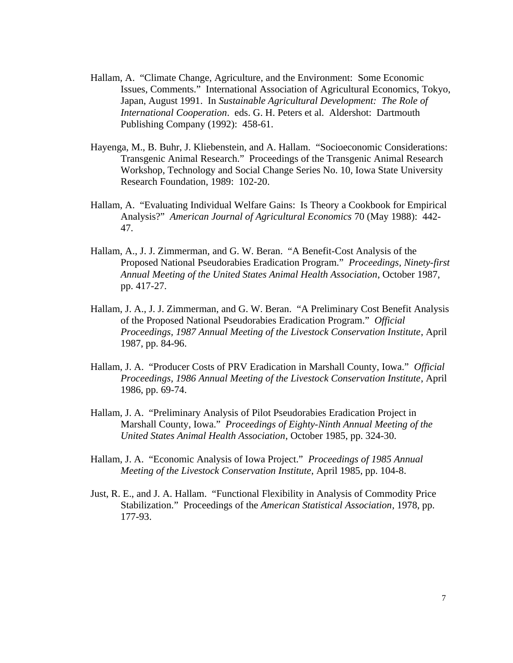- Hallam, A. "Climate Change, Agriculture, and the Environment: Some Economic Issues, Comments." International Association of Agricultural Economics, Tokyo, Japan, August 1991. In *Sustainable Agricultural Development: The Role of International Cooperation*. eds. G. H. Peters et al. Aldershot: Dartmouth Publishing Company (1992): 458-61.
- Hayenga, M., B. Buhr, J. Kliebenstein, and A. Hallam. "Socioeconomic Considerations: Transgenic Animal Research." Proceedings of the Transgenic Animal Research Workshop, Technology and Social Change Series No. 10, Iowa State University Research Foundation, 1989: 102-20.
- Hallam, A. "Evaluating Individual Welfare Gains: Is Theory a Cookbook for Empirical Analysis?" *American Journal of Agricultural Economics* 70 (May 1988): 442- 47.
- Hallam, A., J. J. Zimmerman, and G. W. Beran. "A Benefit-Cost Analysis of the Proposed National Pseudorabies Eradication Program." *Proceedings, Ninety-first Annual Meeting of the United States Animal Health Association*, October 1987, pp. 417-27.
- Hallam, J. A., J. J. Zimmerman, and G. W. Beran. "A Preliminary Cost Benefit Analysis of the Proposed National Pseudorabies Eradication Program." *Official Proceedings, 1987 Annual Meeting of the Livestock Conservation Institute*, April 1987, pp. 84-96.
- Hallam, J. A. "Producer Costs of PRV Eradication in Marshall County, Iowa." *Official Proceedings, 1986 Annual Meeting of the Livestock Conservation Institute*, April 1986, pp. 69-74.
- Hallam, J. A. "Preliminary Analysis of Pilot Pseudorabies Eradication Project in Marshall County, Iowa." *Proceedings of Eighty-Ninth Annual Meeting of the United States Animal Health Association*, October 1985, pp. 324-30.
- Hallam, J. A. "Economic Analysis of Iowa Project." *Proceedings of 1985 Annual Meeting of the Livestock Conservation Institute*, April 1985, pp. 104-8.
- Just, R. E., and J. A. Hallam. "Functional Flexibility in Analysis of Commodity Price Stabilization." Proceedings of the *American Statistical Association*, 1978, pp. 177-93.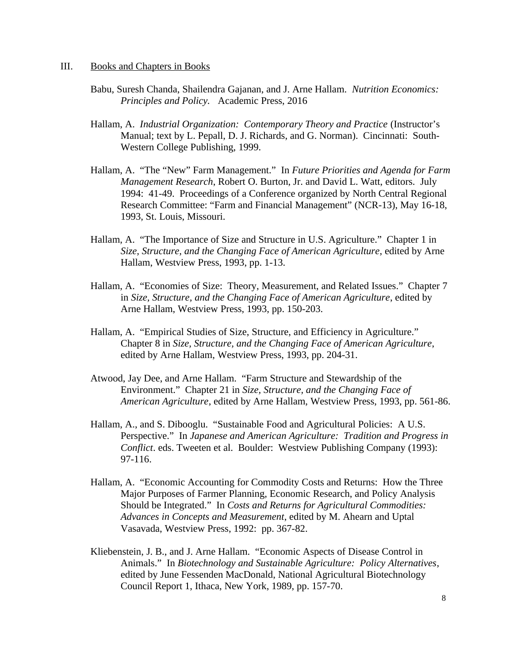#### III. Books and Chapters in Books

- Babu, Suresh Chanda, Shailendra Gajanan, and J. Arne Hallam. *Nutrition Economics: Principles and Policy.* Academic Press, 2016
- Hallam, A. *Industrial Organization: Contemporary Theory and Practice* (Instructor's Manual; text by L. Pepall, D. J. Richards, and G. Norman). Cincinnati: South-Western College Publishing, 1999.
- Hallam, A. "The "New" Farm Management." In *Future Priorities and Agenda for Farm Management Research*, Robert O. Burton, Jr. and David L. Watt, editors. July 1994: 41-49. Proceedings of a Conference organized by North Central Regional Research Committee: "Farm and Financial Management" (NCR-13), May 16-18, 1993, St. Louis, Missouri.
- Hallam, A. "The Importance of Size and Structure in U.S. Agriculture." Chapter 1 in *Size, Structure, and the Changing Face of American Agriculture*, edited by Arne Hallam, Westview Press, 1993, pp. 1-13.
- Hallam, A. "Economies of Size: Theory, Measurement, and Related Issues." Chapter 7 in *Size, Structure, and the Changing Face of American Agriculture*, edited by Arne Hallam, Westview Press, 1993, pp. 150-203.
- Hallam, A. "Empirical Studies of Size, Structure, and Efficiency in Agriculture." Chapter 8 in *Size, Structure, and the Changing Face of American Agriculture*, edited by Arne Hallam, Westview Press, 1993, pp. 204-31.
- Atwood, Jay Dee, and Arne Hallam. "Farm Structure and Stewardship of the Environment." Chapter 21 in *Size, Structure, and the Changing Face of American Agriculture*, edited by Arne Hallam, Westview Press, 1993, pp. 561-86.
- Hallam, A., and S. Dibooglu. "Sustainable Food and Agricultural Policies: A U.S. Perspective." In *Japanese and American Agriculture: Tradition and Progress in Conflict*. eds. Tweeten et al. Boulder: Westview Publishing Company (1993): 97-116.
- Hallam, A. "Economic Accounting for Commodity Costs and Returns: How the Three Major Purposes of Farmer Planning, Economic Research, and Policy Analysis Should be Integrated." In *Costs and Returns for Agricultural Commodities: Advances in Concepts and Measurement*, edited by M. Ahearn and Uptal Vasavada, Westview Press, 1992: pp. 367-82.
- Kliebenstein, J. B., and J. Arne Hallam. "Economic Aspects of Disease Control in Animals." In *Biotechnology and Sustainable Agriculture: Policy Alternatives*, edited by June Fessenden MacDonald, National Agricultural Biotechnology Council Report 1, Ithaca, New York, 1989, pp. 157-70.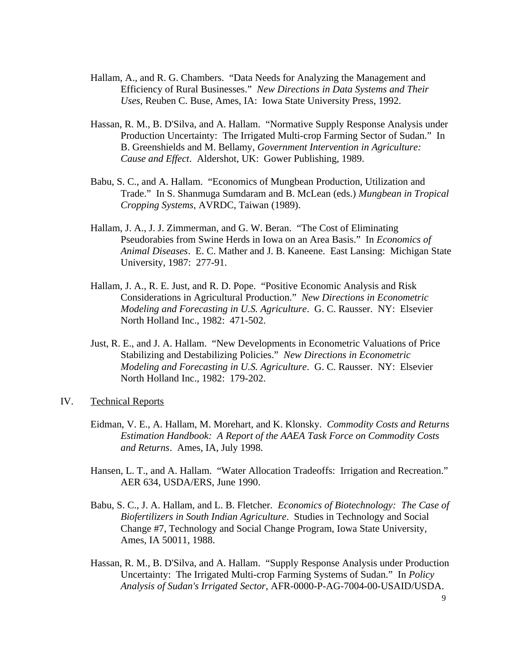- Hallam, A., and R. G. Chambers. "Data Needs for Analyzing the Management and Efficiency of Rural Businesses." *New Directions in Data Systems and Their Uses*, Reuben C. Buse, Ames, IA: Iowa State University Press, 1992.
- Hassan, R. M., B. D'Silva, and A. Hallam. "Normative Supply Response Analysis under Production Uncertainty: The Irrigated Multi-crop Farming Sector of Sudan." In B. Greenshields and M. Bellamy, *Government Intervention in Agriculture: Cause and Effect*. Aldershot, UK: Gower Publishing, 1989.
- Babu, S. C., and A. Hallam. "Economics of Mungbean Production, Utilization and Trade." In S. Shanmuga Sumdaram and B. McLean (eds.) *Mungbean in Tropical Cropping Systems*, AVRDC, Taiwan (1989).
- Hallam, J. A., J. J. Zimmerman, and G. W. Beran. "The Cost of Eliminating Pseudorabies from Swine Herds in Iowa on an Area Basis." In *Economics of Animal Diseases*. E. C. Mather and J. B. Kaneene. East Lansing: Michigan State University, 1987: 277-91.
- Hallam, J. A., R. E. Just, and R. D. Pope. "Positive Economic Analysis and Risk Considerations in Agricultural Production." *New Directions in Econometric Modeling and Forecasting in U.S. Agriculture*. G. C. Rausser. NY: Elsevier North Holland Inc., 1982: 471-502.
- Just, R. E., and J. A. Hallam. "New Developments in Econometric Valuations of Price Stabilizing and Destabilizing Policies." *New Directions in Econometric Modeling and Forecasting in U.S. Agriculture*. G. C. Rausser. NY: Elsevier North Holland Inc., 1982: 179-202.
- IV. Technical Reports
	- Eidman, V. E., A. Hallam, M. Morehart, and K. Klonsky. *Commodity Costs and Returns Estimation Handbook: A Report of the AAEA Task Force on Commodity Costs and Returns*. Ames, IA, July 1998.
	- Hansen, L. T., and A. Hallam. "Water Allocation Tradeoffs: Irrigation and Recreation." AER 634, USDA/ERS, June 1990.
	- Babu, S. C., J. A. Hallam, and L. B. Fletcher. *Economics of Biotechnology: The Case of Biofertilizers in South Indian Agriculture*. Studies in Technology and Social Change #7, Technology and Social Change Program, Iowa State University, Ames, IA 50011, 1988.
	- Hassan, R. M., B. D'Silva, and A. Hallam. "Supply Response Analysis under Production Uncertainty: The Irrigated Multi-crop Farming Systems of Sudan." In *Policy Analysis of Sudan's Irrigated Sector*, AFR-0000-P-AG-7004-00-USAID/USDA.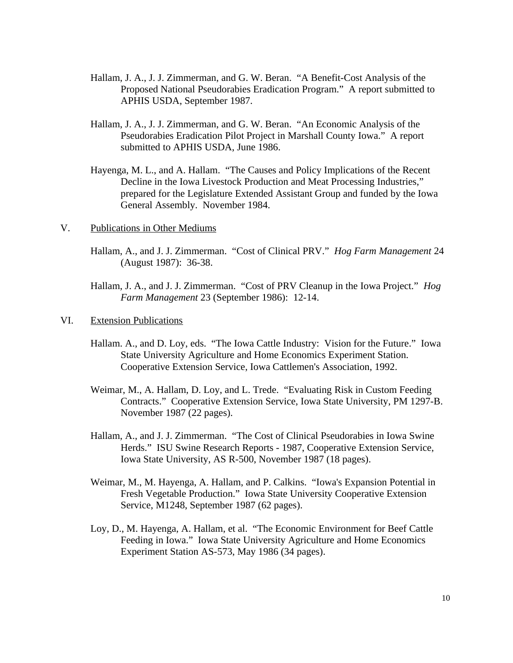- Hallam, J. A., J. J. Zimmerman, and G. W. Beran. "A Benefit-Cost Analysis of the Proposed National Pseudorabies Eradication Program." A report submitted to APHIS USDA, September 1987.
- Hallam, J. A., J. J. Zimmerman, and G. W. Beran. "An Economic Analysis of the Pseudorabies Eradication Pilot Project in Marshall County Iowa." A report submitted to APHIS USDA, June 1986.
- Hayenga, M. L., and A. Hallam. "The Causes and Policy Implications of the Recent Decline in the Iowa Livestock Production and Meat Processing Industries," prepared for the Legislature Extended Assistant Group and funded by the Iowa General Assembly. November 1984.
- V. Publications in Other Mediums
	- Hallam, A., and J. J. Zimmerman. "Cost of Clinical PRV." *Hog Farm Management* 24 (August 1987): 36-38.
	- Hallam, J. A., and J. J. Zimmerman. "Cost of PRV Cleanup in the Iowa Project." *Hog Farm Management* 23 (September 1986): 12-14.
- VI. Extension Publications
	- Hallam. A., and D. Loy, eds. "The Iowa Cattle Industry: Vision for the Future." Iowa State University Agriculture and Home Economics Experiment Station. Cooperative Extension Service, Iowa Cattlemen's Association, 1992.
	- Weimar, M., A. Hallam, D. Loy, and L. Trede. "Evaluating Risk in Custom Feeding Contracts." Cooperative Extension Service, Iowa State University, PM 1297-B. November 1987 (22 pages).
	- Hallam, A., and J. J. Zimmerman. "The Cost of Clinical Pseudorabies in Iowa Swine Herds." ISU Swine Research Reports - 1987, Cooperative Extension Service, Iowa State University, AS R-500, November 1987 (18 pages).
	- Weimar, M., M. Hayenga, A. Hallam, and P. Calkins. "Iowa's Expansion Potential in Fresh Vegetable Production." Iowa State University Cooperative Extension Service, M1248, September 1987 (62 pages).
	- Loy, D., M. Hayenga, A. Hallam, et al. "The Economic Environment for Beef Cattle Feeding in Iowa." Iowa State University Agriculture and Home Economics Experiment Station AS-573, May 1986 (34 pages).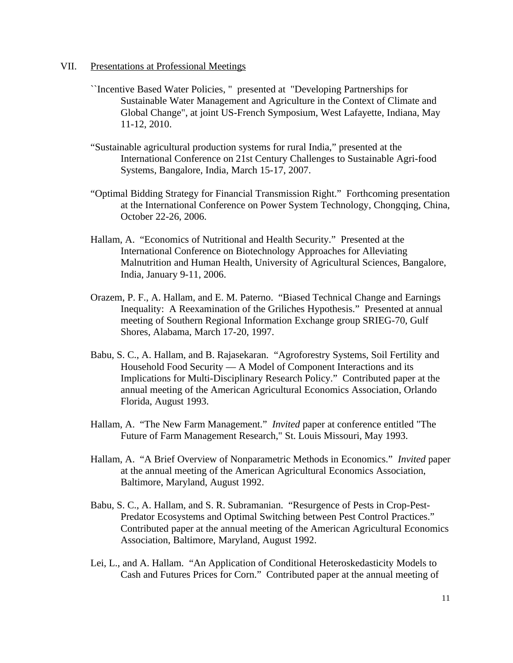- VII. Presentations at Professional Meetings
	- ``Incentive Based Water Policies, " presented at "Developing Partnerships for Sustainable Water Management and Agriculture in the Context of Climate and Global Change", at joint US-French Symposium, West Lafayette, Indiana, May 11-12, 2010.
	- "Sustainable agricultural production systems for rural India," presented at the International Conference on 21st Century Challenges to Sustainable Agri-food Systems, Bangalore, India, March 15-17, 2007.
	- "Optimal Bidding Strategy for Financial Transmission Right." Forthcoming presentation at the International Conference on Power System Technology, Chongqing, China, October 22-26, 2006.
	- Hallam, A. "Economics of Nutritional and Health Security." Presented at the International Conference on Biotechnology Approaches for Alleviating Malnutrition and Human Health, University of Agricultural Sciences, Bangalore, India, January 9-11, 2006.
	- Orazem, P. F., A. Hallam, and E. M. Paterno. "Biased Technical Change and Earnings Inequality: A Reexamination of the Griliches Hypothesis." Presented at annual meeting of Southern Regional Information Exchange group SRIEG-70, Gulf Shores, Alabama, March 17-20, 1997.
	- Babu, S. C., A. Hallam, and B. Rajasekaran. "Agroforestry Systems, Soil Fertility and Household Food Security — A Model of Component Interactions and its Implications for Multi-Disciplinary Research Policy." Contributed paper at the annual meeting of the American Agricultural Economics Association, Orlando Florida, August 1993.
	- Hallam, A. "The New Farm Management." *Invited* paper at conference entitled "The Future of Farm Management Research," St. Louis Missouri, May 1993.
	- Hallam, A. "A Brief Overview of Nonparametric Methods in Economics." *Invited* paper at the annual meeting of the American Agricultural Economics Association, Baltimore, Maryland, August 1992.
	- Babu, S. C., A. Hallam, and S. R. Subramanian. "Resurgence of Pests in Crop-Pest-Predator Ecosystems and Optimal Switching between Pest Control Practices." Contributed paper at the annual meeting of the American Agricultural Economics Association, Baltimore, Maryland, August 1992.
	- Lei, L., and A. Hallam. "An Application of Conditional Heteroskedasticity Models to Cash and Futures Prices for Corn." Contributed paper at the annual meeting of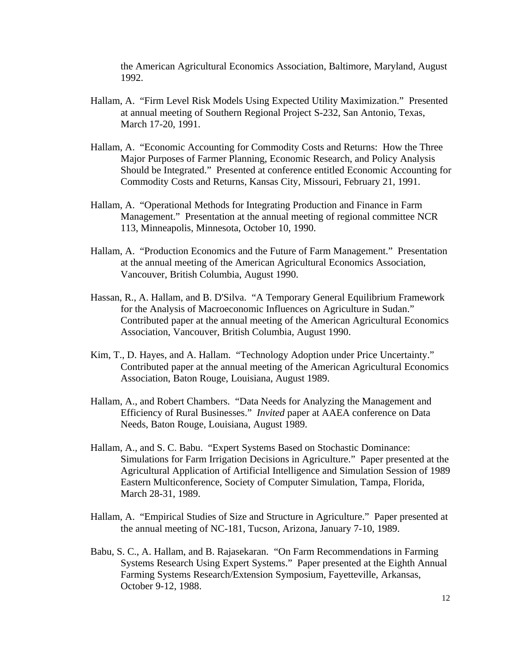the American Agricultural Economics Association, Baltimore, Maryland, August 1992.

- Hallam, A. "Firm Level Risk Models Using Expected Utility Maximization." Presented at annual meeting of Southern Regional Project S-232, San Antonio, Texas, March 17-20, 1991.
- Hallam, A. "Economic Accounting for Commodity Costs and Returns: How the Three Major Purposes of Farmer Planning, Economic Research, and Policy Analysis Should be Integrated." Presented at conference entitled Economic Accounting for Commodity Costs and Returns, Kansas City, Missouri, February 21, 1991.
- Hallam, A. "Operational Methods for Integrating Production and Finance in Farm Management." Presentation at the annual meeting of regional committee NCR 113, Minneapolis, Minnesota, October 10, 1990.
- Hallam, A. "Production Economics and the Future of Farm Management." Presentation at the annual meeting of the American Agricultural Economics Association, Vancouver, British Columbia, August 1990.
- Hassan, R., A. Hallam, and B. D'Silva. "A Temporary General Equilibrium Framework for the Analysis of Macroeconomic Influences on Agriculture in Sudan." Contributed paper at the annual meeting of the American Agricultural Economics Association, Vancouver, British Columbia, August 1990.
- Kim, T., D. Hayes, and A. Hallam. "Technology Adoption under Price Uncertainty." Contributed paper at the annual meeting of the American Agricultural Economics Association, Baton Rouge, Louisiana, August 1989.
- Hallam, A., and Robert Chambers. "Data Needs for Analyzing the Management and Efficiency of Rural Businesses." *Invited* paper at AAEA conference on Data Needs, Baton Rouge, Louisiana, August 1989.
- Hallam, A., and S. C. Babu. "Expert Systems Based on Stochastic Dominance: Simulations for Farm Irrigation Decisions in Agriculture." Paper presented at the Agricultural Application of Artificial Intelligence and Simulation Session of 1989 Eastern Multiconference, Society of Computer Simulation, Tampa, Florida, March 28-31, 1989.
- Hallam, A. "Empirical Studies of Size and Structure in Agriculture." Paper presented at the annual meeting of NC-181, Tucson, Arizona, January 7-10, 1989.
- Babu, S. C., A. Hallam, and B. Rajasekaran. "On Farm Recommendations in Farming Systems Research Using Expert Systems." Paper presented at the Eighth Annual Farming Systems Research/Extension Symposium, Fayetteville, Arkansas, October 9-12, 1988.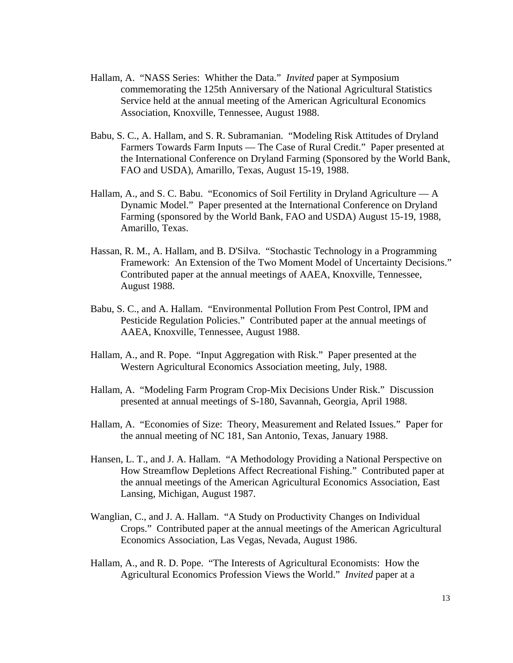- Hallam, A. "NASS Series: Whither the Data." *Invited* paper at Symposium commemorating the 125th Anniversary of the National Agricultural Statistics Service held at the annual meeting of the American Agricultural Economics Association, Knoxville, Tennessee, August 1988.
- Babu, S. C., A. Hallam, and S. R. Subramanian. "Modeling Risk Attitudes of Dryland Farmers Towards Farm Inputs — The Case of Rural Credit." Paper presented at the International Conference on Dryland Farming (Sponsored by the World Bank, FAO and USDA), Amarillo, Texas, August 15-19, 1988.
- Hallam, A., and S. C. Babu. "Economics of Soil Fertility in Dryland Agriculture A Dynamic Model." Paper presented at the International Conference on Dryland Farming (sponsored by the World Bank, FAO and USDA) August 15-19, 1988, Amarillo, Texas.
- Hassan, R. M., A. Hallam, and B. D'Silva. "Stochastic Technology in a Programming Framework: An Extension of the Two Moment Model of Uncertainty Decisions." Contributed paper at the annual meetings of AAEA, Knoxville, Tennessee, August 1988.
- Babu, S. C., and A. Hallam. "Environmental Pollution From Pest Control, IPM and Pesticide Regulation Policies." Contributed paper at the annual meetings of AAEA, Knoxville, Tennessee, August 1988.
- Hallam, A., and R. Pope. "Input Aggregation with Risk." Paper presented at the Western Agricultural Economics Association meeting, July, 1988.
- Hallam, A. "Modeling Farm Program Crop-Mix Decisions Under Risk." Discussion presented at annual meetings of S-180, Savannah, Georgia, April 1988.
- Hallam, A. "Economies of Size: Theory, Measurement and Related Issues." Paper for the annual meeting of NC 181, San Antonio, Texas, January 1988.
- Hansen, L. T., and J. A. Hallam. "A Methodology Providing a National Perspective on How Streamflow Depletions Affect Recreational Fishing." Contributed paper at the annual meetings of the American Agricultural Economics Association, East Lansing, Michigan, August 1987.
- Wanglian, C., and J. A. Hallam. "A Study on Productivity Changes on Individual Crops." Contributed paper at the annual meetings of the American Agricultural Economics Association, Las Vegas, Nevada, August 1986.
- Hallam, A., and R. D. Pope. "The Interests of Agricultural Economists: How the Agricultural Economics Profession Views the World." *Invited* paper at a